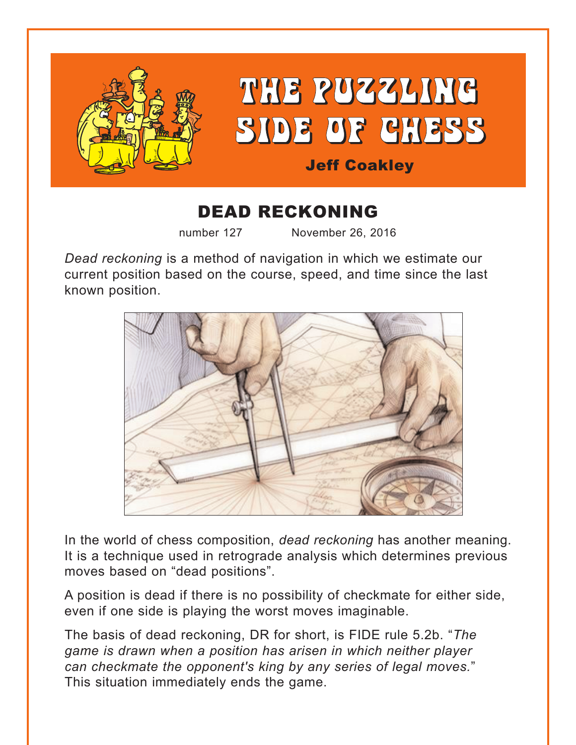

## DEAD RECKONING

number 127 November 26, 2016

*Dead reckoning* is a method of navigation in which we estimate our current position based on the course, speed, and time since the last known position.



In the world of chess composition, *dead reckoning* has another meaning. It is a technique used in retrograde analysis which determines previous moves based on "dead positions".

A position is dead if there is no possibility of checkmate for either side, even if one side is playing the worst moves imaginable.

The basis of dead reckoning, DR for short, is FIDE rule 5.2b. "*The game is drawn when a position has arisen in which neither player can checkmate the opponent's king by any series of legal moves.*" This situation immediately ends the game.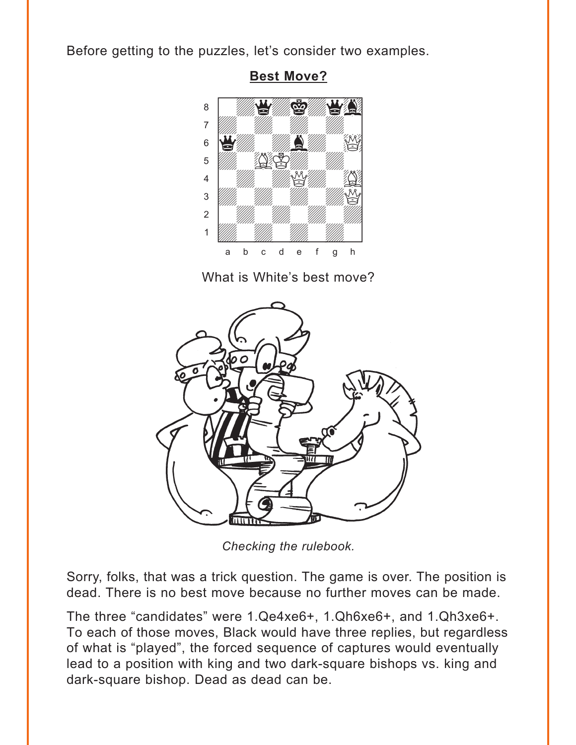<span id="page-1-0"></span>Before getting to the puzzles, let's consider two examples.



**Best Move?** 

What is White's best move?



Checking the rulebook.

Sorry, folks, that was a trick question. The game is over. The position is dead. There is no best move because no further moves can be made.

The three "candidates" were 1.Qe4xe6+, 1.Qh6xe6+, and 1.Qh3xe6+. To each of those moves, Black would have three replies, but regardless of what is "played", the forced sequence of captures would eventually lead to a position with king and two dark-square bishops vs. king and dark-square bishop. Dead as dead can be.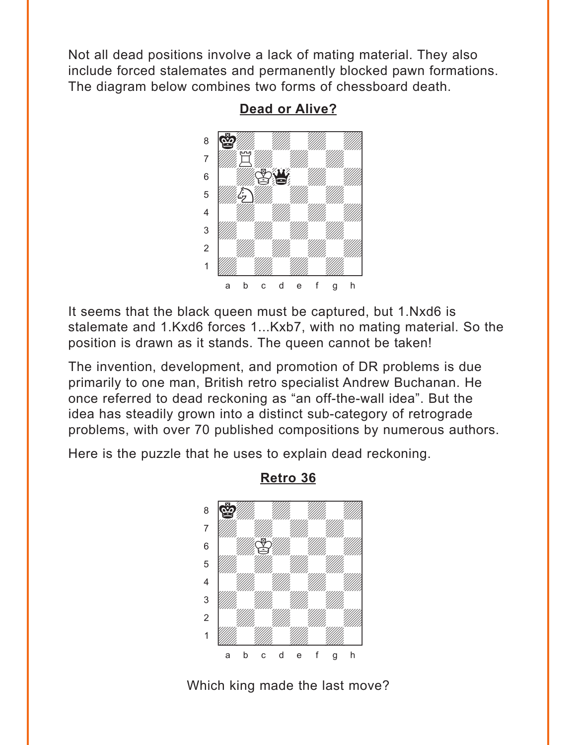<span id="page-2-0"></span>Not all dead positions involve a lack of mating material. They also include forced stalemates and permanently blocked pawn formations. The diagram below combines two forms of chessboard death.



**[Dead or Alive?](#page-6-0)**

It seems that the black queen must be captured, but 1.Nxd6 is stalemate and 1.Kxd6 forces 1...Kxb7, with no mating material. So the position is drawn as it stands. The queen cannot be taken!

The invention, development, and promotion of DR problems is due primarily to one man, British retro specialist Andrew Buchanan. He once referred to dead reckoning as "an off-the-wall idea". But the idea has steadily grown into a distinct sub-category of retrograde problems, with over 70 published compositions by numerous authors.

Here is the puzzle that he uses to explain dead reckoning.



**[Retro 36](#page-6-0)**

Which king made the last move?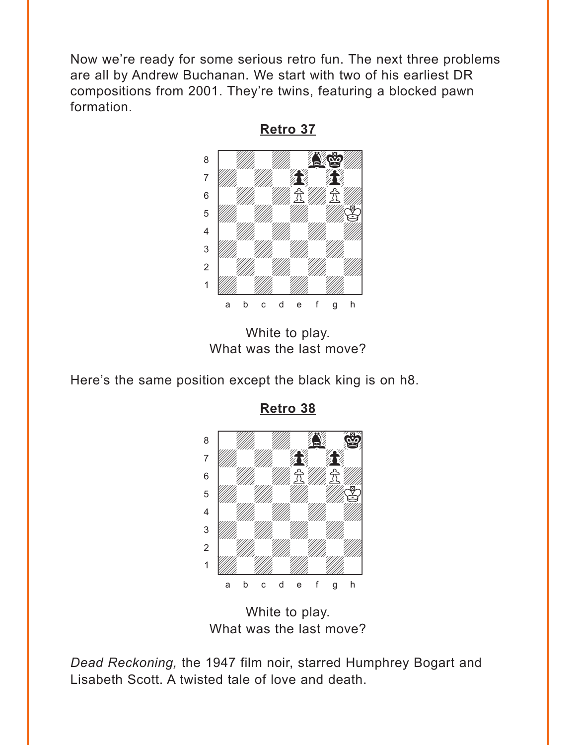<span id="page-3-0"></span>Now we're ready for some serious retro fun. The next three problems are all by Andrew Buchanan. We start with two of his earliest DR compositions from 2001. They're twins, featuring a blocked pawn formation.



**[Retro 37](#page-7-0)**

White to play. What was the last move?

Here's the same position except the black king is on h8.



**[Retro 38](#page-8-0)**

White to play. What was the last move?

*Dead Reckoning,* the 1947 film noir, starred Humphrey Bogart and Lisabeth Scott. A twisted tale of love and death.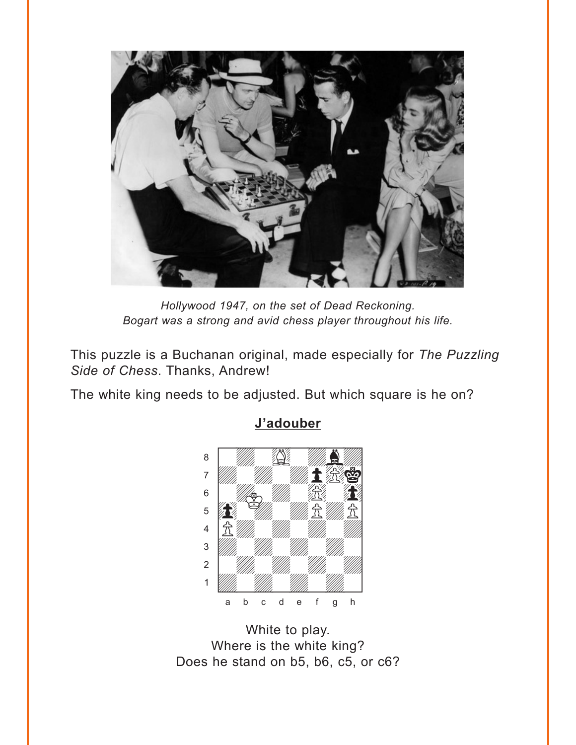<span id="page-4-0"></span>

Hollywood 1947, on the set of Dead Reckoning. Bogart was a strong and avid chess player throughout his life.

This puzzle is a Buchanan original, made especially for The Puzzling Side of Chess. Thanks, Andrew!

The white king needs to be adjusted. But which square is he on?



J'adouber

White to play. Where is the white king? Does he stand on b5, b6, c5, or c6?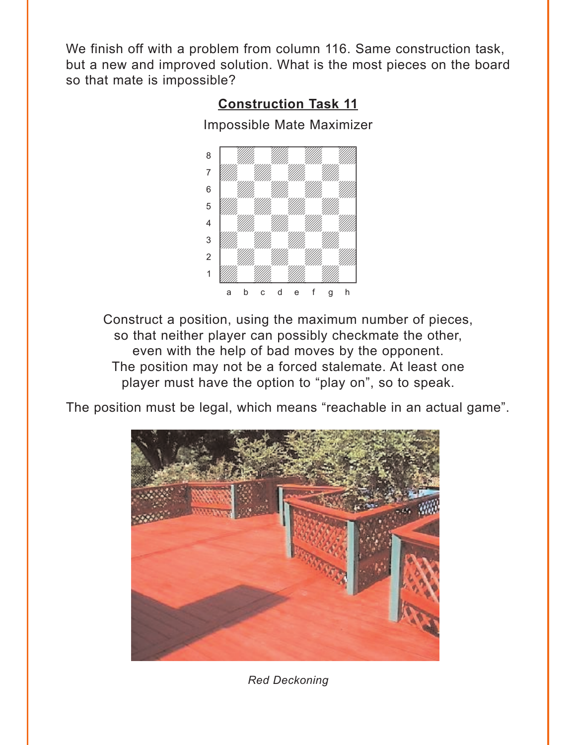<span id="page-5-0"></span>We finish off with a problem from column 116. Same construction task, but a new and improved solution. What is the most pieces on the board so that mate is impossible?



Construct a position, using the maximum number of pieces, so that neither player can possibly checkmate the other, even with the help of bad moves by the opponent. The position may not be a forced stalemate. At least one player must have the option to "play on", so to speak.

The position must be legal, which means "reachable in an actual game".



*Red Deckoning*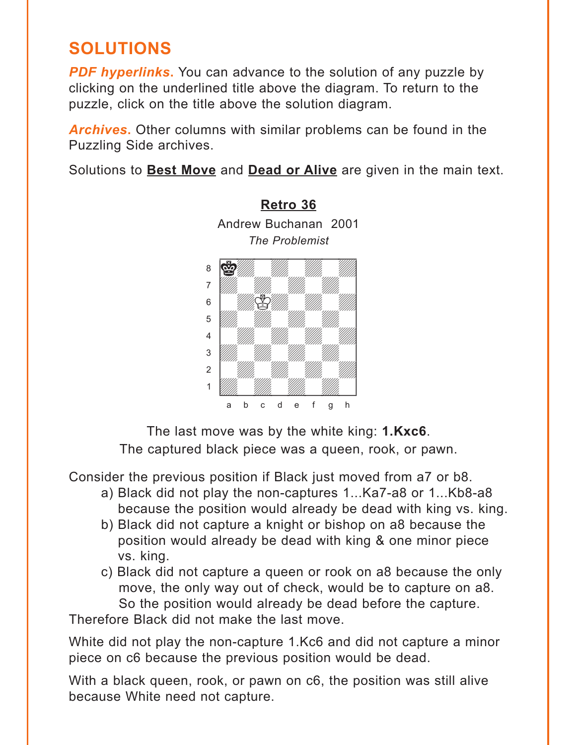## <span id="page-6-0"></span>**SOLUTIONS**

*PDF hyperlinks***.** You can advance to the solution of any puzzle by clicking on the underlined title above the diagram. To return to the puzzle, click on the title above the solution diagram.

*Archives***.** Other columns with similar problems can be found in the Puzzling Side archives.

Solutions to **[Best Move](#page-1-0)** and **[Dead or Alive](#page-2-0)** are given in the main text.

**[Retro 36](#page-2-0)** Andrew Buchanan 2001



The last move was by the white king: **1.Kxc6**.

The captured black piece was a queen, rook, or pawn.

Consider the previous position if Black just moved from a7 or b8.

- a) Black did not play the non-captures 1...Ka7-a8 or 1...Kb8-a8 because the position would already be dead with king vs. king.
- b) Black did not capture a knight or bishop on a8 because the position would already be dead with king & one minor piece vs. king.
- c) Black did not capture a queen or rook on a8 because the only move, the only way out of check, would be to capture on a8. So the position would already be dead before the capture.

Therefore Black did not make the last move.

White did not play the non-capture 1.Kc6 and did not capture a minor piece on c6 because the previous position would be dead.

With a black queen, rook, or pawn on c6, the position was still alive because White need not capture.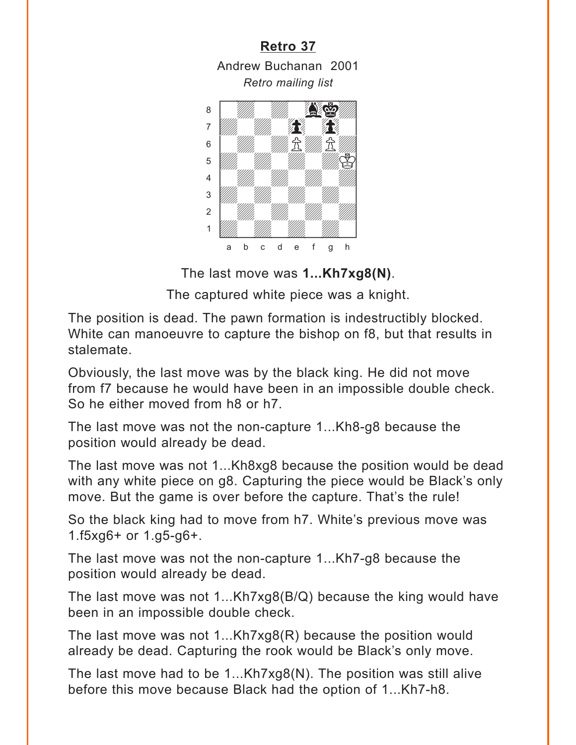<span id="page-7-0"></span>

1 *Udwarddwrain ym y ym y gyda*d y cyfeiriad yn y gyda y gyda y gyda y gyda y gyda y gyda y gyda y gyda y gyda y<br>Trwy y gyda y gyda y gyda y gyda y gyda y gyda y gyda y gyda y gyda y gyda y gyda y gyda y gyda y gyda y gyda a b c d e f g h

The last move was **1...Kh7xg8(N)**.

The captured white piece was a knight.

The position is dead. The pawn formation is indestructibly blocked. White can manoeuvre to capture the bishop on f8, but that results in stalemate.

Obviously, the last move was by the black king. He did not move from f7 because he would have been in an impossible double check. So he either moved from h8 or h7.

The last move was not the non-capture 1...Kh8-g8 because the position would already be dead.

The last move was not 1...Kh8xg8 because the position would be dead with any white piece on g8. Capturing the piece would be Black's only move. But the game is over before the capture. That's the rule!

So the black king had to move from h7. White's previous move was 1.f5xg6+ or 1.g5-g6+.

The last move was not the non-capture 1...Kh7-g8 because the position would already be dead.

The last move was not 1...Kh7xg8(B/Q) because the king would have been in an impossible double check.

The last move was not 1...Kh7xg8(R) because the position would already be dead. Capturing the rook would be Black's only move.

The last move had to be 1...Kh7xg8(N). The position was still alive before this move because Black had the option of 1...Kh7-h8.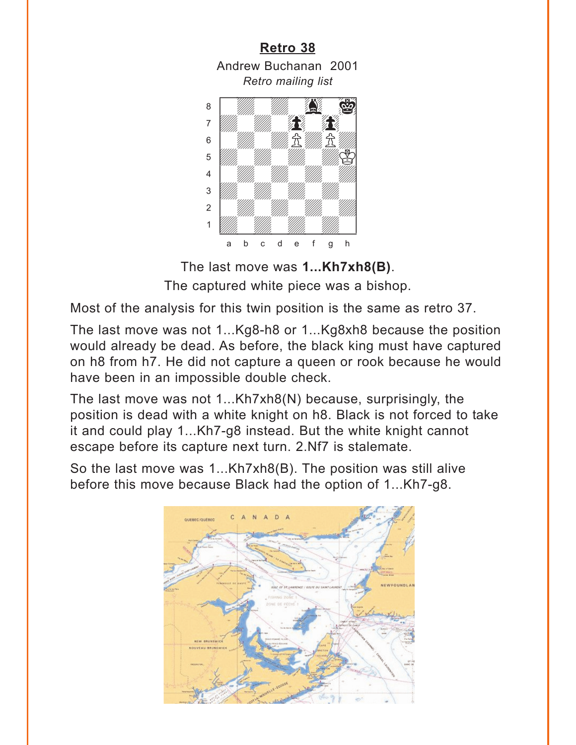<span id="page-8-0"></span>

The last move was **1...Kh7xh8(B)**. The captured white piece was a bishop.

Most of the analysis for this twin position is the same as retro 37.

The last move was not 1...Kg8-h8 or 1...Kg8xh8 because the position would already be dead. As before, the black king must have captured on h8 from h7. He did not capture a queen or rook because he would have been in an impossible double check.

The last move was not 1...Kh7xh8(N) because, surprisingly, the position is dead with a white knight on h8. Black is not forced to take it and could play 1...Kh7-g8 instead. But the white knight cannot escape before its capture next turn. 2.Nf7 is stalemate.

So the last move was 1...Kh7xh8(B). The position was still alive before this move because Black had the option of 1...Kh7-g8.

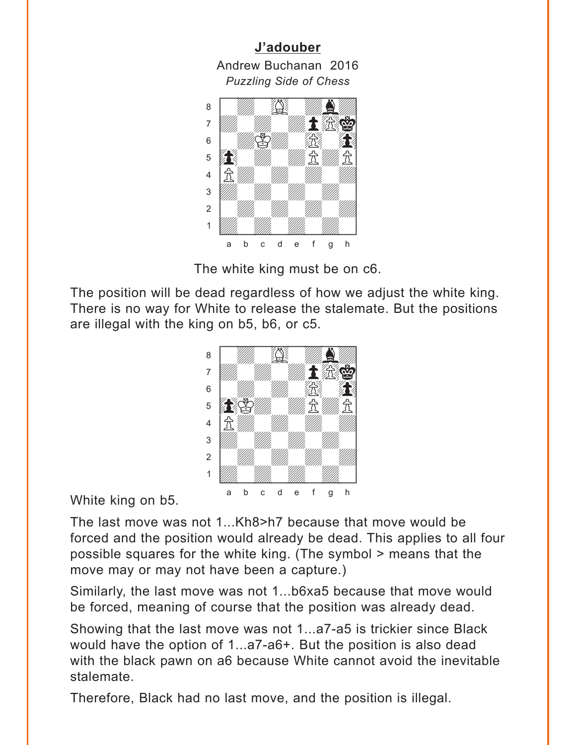<span id="page-9-0"></span>**[J'adouber](#page-4-0)** Andrew Buchanan 2016 *Puzzling Side of Chess* w\_\_\_\_\_\_\_\_w



The white king must be on c6.

The position will be dead regardless of how we adjust the white king. There is no way for White to release the stalemate. But the positions are illegal with the king on b5, b6, or c5.



White king on b5.

The last move was not 1...Kh8>h7 because that move would be forced and the position would already be dead. This applies to all four possible squares for the white king. (The symbol > means that the move may or may not have been a capture.)

Similarly, the last move was not 1...b6xa5 because that move would be forced, meaning of course that the position was already dead.

Showing that the last move was not 1...a7-a5 is trickier since Black would have the option of 1...a7-a6+. But the position is also dead with the black pawn on a6 because White cannot avoid the inevitable stalemate.

Therefore, Black had no last move, and the position is illegal.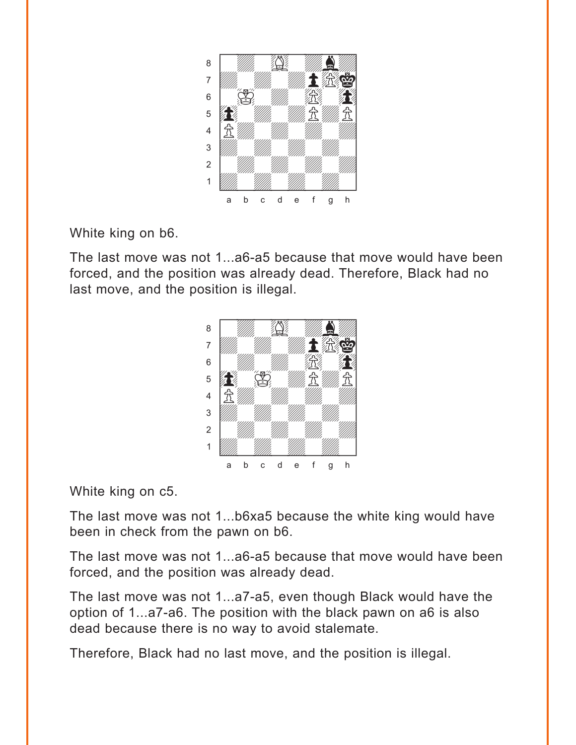

White king on b6.

The last move was not 1...a6-a5 because that move would have been forced, and the position was already dead. Therefore, Black had no last move, and the position is illegal.



White king on c5.

The last move was not 1...b6xa5 because the white king would have been in check from the pawn on b6.

The last move was not 1...a6-a5 because that move would have been forced, and the position was already dead.

The last move was not 1...a7-a5, even though Black would have the option of 1...a7-a6. The position with the black pawn on a6 is also dead because there is no way to avoid stalemate.

Therefore, Black had no last move, and the position is illegal.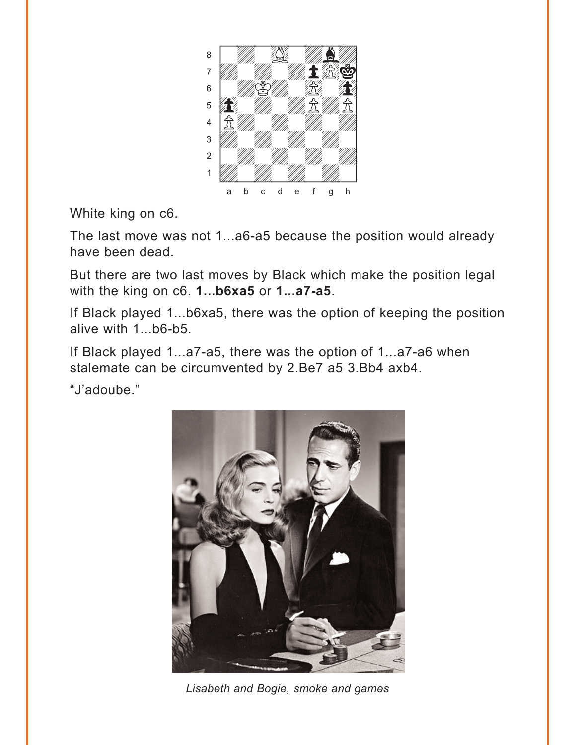

White king on c6.

The last move was not 1...a6-a5 because the position would already have been dead.

But there are two last moves by Black which make the position legal with the king on c6. **1...b6xa5** or **1...a7-a5**.

If Black played 1...b6xa5, there was the option of keeping the position alive with 1...b6-b5.

If Black played 1...a7-a5, there was the option of 1...a7-a6 when stalemate can be circumvented by 2.Be7 a5 3.Bb4 axb4.

"J'adoube."



*Lisabeth and Bogie, smoke and games*